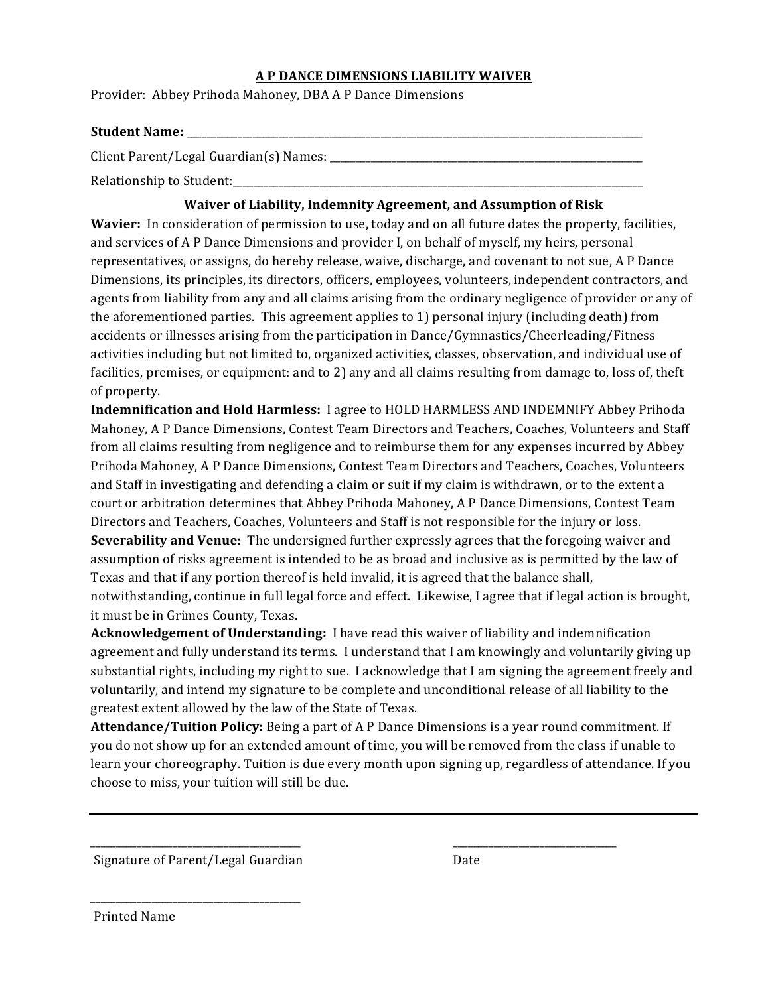#### **A P DANCE DIMENSIONS LIABILITY WAIVER**

Provider: Abbey Prihoda Mahoney, DBA A P Dance Dimensions

#### **Student Name:** \_\_\_\_\_\_\_\_\_\_\_\_\_\_\_\_\_\_\_\_\_\_\_\_\_\_\_\_\_\_\_\_\_\_\_\_\_\_\_\_\_\_\_\_\_\_\_\_\_\_\_\_\_\_\_\_\_\_\_\_\_\_\_\_\_\_\_\_\_\_\_\_\_\_\_\_\_\_\_\_\_\_\_\_\_\_\_\_\_

Client Parent/Legal Guardian(s) Names: \_\_\_\_\_\_\_\_\_\_\_\_\_\_\_\_\_\_\_\_\_\_\_\_\_\_\_\_\_\_\_\_\_\_\_\_\_\_\_\_\_\_\_\_\_\_\_\_\_\_\_\_\_\_\_\_\_\_\_\_\_

Relationship to Student:

### **Waiver of Liability, Indemnity Agreement, and Assumption of Risk**

**Wavier:** In consideration of permission to use, today and on all future dates the property, facilities, and services of A P Dance Dimensions and provider I, on behalf of myself, my heirs, personal representatives, or assigns, do hereby release, waive, discharge, and covenant to not sue, A P Dance Dimensions, its principles, its directors, officers, employees, volunteers, independent contractors, and agents from liability from any and all claims arising from the ordinary negligence of provider or any of the aforementioned parties. This agreement applies to 1) personal injury (including death) from accidents or illnesses arising from the participation in Dance/Gymnastics/Cheerleading/Fitness activities including but not limited to, organized activities, classes, observation, and individual use of facilities, premises, or equipment: and to 2) any and all claims resulting from damage to, loss of, theft of property.

**Indemnification and Hold Harmless:** I agree to HOLD HARMLESS AND INDEMNIFY Abbey Prihoda Mahoney, A P Dance Dimensions, Contest Team Directors and Teachers, Coaches, Volunteers and Staff from all claims resulting from negligence and to reimburse them for any expenses incurred by Abbey Prihoda Mahoney, A P Dance Dimensions, Contest Team Directors and Teachers, Coaches, Volunteers and Staff in investigating and defending a claim or suit if my claim is withdrawn, or to the extent a court or arbitration determines that Abbey Prihoda Mahoney, A P Dance Dimensions, Contest Team Directors and Teachers, Coaches, Volunteers and Staff is not responsible for the injury or loss. **Severability and Venue:** The undersigned further expressly agrees that the foregoing waiver and assumption of risks agreement is intended to be as broad and inclusive as is permitted by the law of Texas and that if any portion thereof is held invalid, it is agreed that the balance shall, notwithstanding, continue in full legal force and effect. Likewise, I agree that if legal action is brought, it must be in Grimes County, Texas.

**Acknowledgement of Understanding:** I have read this waiver of liability and indemnification agreement and fully understand its terms. I understand that I am knowingly and voluntarily giving up substantial rights, including my right to sue. I acknowledge that I am signing the agreement freely and voluntarily, and intend my signature to be complete and unconditional release of all liability to the greatest extent allowed by the law of the State of Texas.

**Attendance/Tuition Policy:** Being a part of A P Dance Dimensions is a year round commitment. If you do not show up for an extended amount of time, you will be removed from the class if unable to learn your choreography. Tuition is due every month upon signing up, regardless of attendance. If you choose to miss, your tuition will still be due.

\_\_\_\_\_\_\_\_\_\_\_\_\_\_\_\_\_\_\_\_\_\_\_\_\_\_\_\_\_\_\_\_\_\_\_\_\_\_\_\_\_ \_\_\_\_\_\_\_\_\_\_\_\_\_\_\_\_\_\_\_\_\_\_\_\_\_\_\_\_\_\_\_\_

Signature of Parent/Legal Guardian Date

\_\_\_\_\_\_\_\_\_\_\_\_\_\_\_\_\_\_\_\_\_\_\_\_\_\_\_\_\_\_\_\_\_\_\_\_\_\_\_\_\_ 

Printed Name